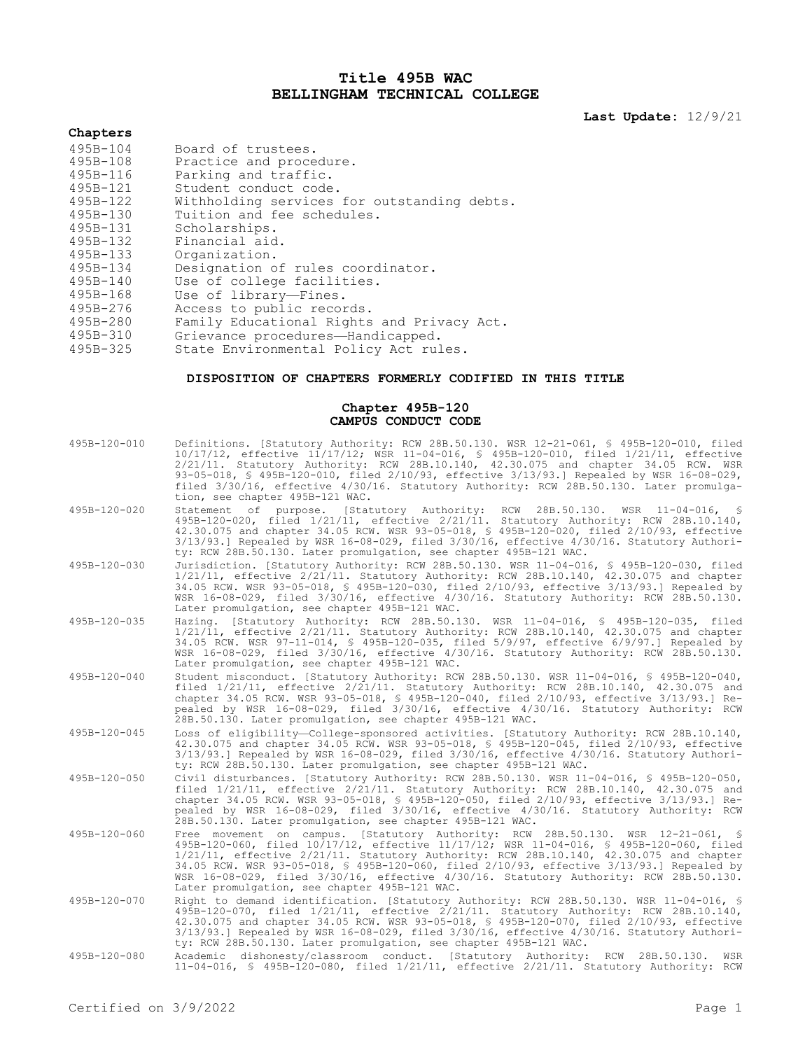## **Title 495B WAC BELLINGHAM TECHNICAL COLLEGE**

**Last Update:** 12/9/21

# **Chapters**

| 495B-104                                        | Board of trustees.                          |
|-------------------------------------------------|---------------------------------------------|
| 495B-108                                        | Practice and procedure.                     |
| 495B-116                                        | Parking and traffic.                        |
| 495B-121                                        | Student conduct code.                       |
| 495B-122                                        | Withholding services for outstanding debts. |
| 495B-130                                        | Tuition and fee schedules.                  |
| 495B-131                                        | Scholarships.                               |
| 495B-132                                        | Financial aid.                              |
| 495B-133                                        | Organization.                               |
| 495B-134                                        | Designation of rules coordinator.           |
| $495B - 140$                                    | Use of college facilities.                  |
| 495B-168                                        | Use of library-Fines.                       |
| 495B-276                                        | Access to public records.                   |
| 495B-280                                        | Family Educational Rights and Privacy Act.  |
| 495B-310                                        | Grievance procedures-Handicapped.           |
| $A$ $Q$ $S$ $R$ $Q$ $Q$ $S$ $R$ $Q$ $Q$ $S$ $R$ | State Fruirenmental Policy Act rules        |

495B-325 State Environmental Policy Act rules.

## **DISPOSITION OF CHAPTERS FORMERLY CODIFIED IN THIS TITLE**

### **Chapter 495B-120 CAMPUS CONDUCT CODE**

| 495B-120-010 | Definitions. [Statutory Authority: RCW 28B.50.130. WSR 12-21-061, § 495B-120-010, filed<br>10/17/12, effective 11/17/12; WSR 11-04-016, § 495B-120-010, filed 1/21/11, effective<br>2/21/11. Statutory Authority: RCW 28B.10.140, 42.30.075 and chapter 34.05 RCW. WSR<br>93-05-018, § 495B-120-010, filed 2/10/93, effective 3/13/93.] Repealed by WSR 16-08-029,<br>filed 3/30/16, effective 4/30/16. Statutory Authority: RCW 28B.50.130. Later promulga-<br>tion, see chapter 495B-121 WAC.                 |
|--------------|-----------------------------------------------------------------------------------------------------------------------------------------------------------------------------------------------------------------------------------------------------------------------------------------------------------------------------------------------------------------------------------------------------------------------------------------------------------------------------------------------------------------|
| 495B-120-020 | Statement of purpose. [Statutory Authority: RCW 28B.50.130. WSR 11-04-016,<br>S<br>495B-120-020, filed 1/21/11, effective 2/21/11. Statutory Authority: RCW 28B.10.140,<br>42.30.075 and chapter 34.05 RCW. WSR 93-05-018, § 495B-120-020, filed 2/10/93, effective<br>$3/13/93$ .] Repealed by WSR 16-08-029, filed $3/30/16$ , effective $4/30/16$ . Statutory Authori-<br>ty: RCW 28B.50.130. Later promulgation, see chapter 495B-121 WAC.                                                                  |
| 495B-120-030 | Jurisdiction. [Statutory Authority: RCW 28B.50.130. WSR 11-04-016, § 495B-120-030, filed<br>$1/21/11$ , effective $2/21/11$ . Statutory Authority: RCW 28B.10.140, 42.30.075 and chapter<br>34.05 RCW. WSR 93-05-018, § 495B-120-030, filed 2/10/93, effective 3/13/93.] Repealed by<br>WSR 16-08-029, filed 3/30/16, effective 4/30/16. Statutory Authority: RCW 28B.50.130.<br>Later promulgation, see chapter 495B-121 WAC.                                                                                  |
| 495B-120-035 | Hazing. [Statutory Authority: RCW 28B.50.130. WSR 11-04-016, § 495B-120-035, filed<br>$1/21/11$ , effective $2/21/11$ . Statutory Authority: RCW 28B.10.140, 42.30.075 and chapter<br>34.05 RCW. WSR 97-11-014, § 495B-120-035, filed 5/9/97, effective 6/9/97.] Repealed by<br>WSR 16-08-029, filed 3/30/16, effective 4/30/16. Statutory Authority: RCW 28B.50.130.<br>Later promulgation, see chapter 495B-121 WAC.                                                                                          |
| 495B-120-040 | Student misconduct. [Statutory Authority: RCW 28B.50.130. WSR 11-04-016, § 495B-120-040,<br>filed 1/21/11, effective 2/21/11. Statutory Authority: RCW 28B.10.140, 42.30.075 and<br>chapter 34.05 RCW. WSR 93-05-018, § 495B-120-040, filed 2/10/93, effective 3/13/93.] Re-<br>pealed by WSR 16-08-029, filed 3/30/16, effective 4/30/16. Statutory Authority: RCW<br>28B.50.130. Later promulgation, see chapter 495B-121 WAC.                                                                                |
| 495B-120-045 | Loss of eligibility-College-sponsored activities. [Statutory Authority: RCW 28B.10.140,<br>42.30.075 and chapter 34.05 RCW. WSR 93-05-018, \$ 495B-120-045, filed 2/10/93, effective<br>3/13/93.] Repealed by WSR 16-08-029, filed 3/30/16, effective 4/30/16. Statutory Authori-<br>ty: RCW 28B.50.130. Later promulgation, see chapter 495B-121 WAC.                                                                                                                                                          |
| 495B-120-050 | Civil disturbances. [Statutory Authority: RCW 28B.50.130. WSR 11-04-016, § 495B-120-050,<br>filed 1/21/11, effective 2/21/11. Statutory Authority: RCW 28B.10.140, 42.30.075 and<br>chapter 34.05 RCW. WSR 93-05-018, § 495B-120-050, filed 2/10/93, effective 3/13/93.] Re-<br>pealed by WSR 16-08-029, filed 3/30/16, effective 4/30/16. Statutory Authority: RCW<br>28B.50.130. Later promulgation, see chapter 495B-121 WAC.                                                                                |
| 495B-120-060 | Free movement on campus. [Statutory Authority: RCW 28B.50.130. WSR 12-21-061, §<br>495B-120-060, filed 10/17/12, effective 11/17/12; WSR 11-04-016, § 495B-120-060, filed<br>$1/21/11$ , effective $2/21/11$ . Statutory Authority: RCW 28B.10.140, 42.30.075 and chapter<br>34.05 RCW. WSR 93-05-018, § 495B-120-060, filed 2/10/93, effective 3/13/93.] Repealed by<br>WSR 16-08-029, filed 3/30/16, effective 4/30/16. Statutory Authority: RCW 28B.50.130.<br>Later promulgation, see chapter 495B-121 WAC. |
| 495B-120-070 | Right to demand identification. [Statutory Authority: RCW 28B.50.130. WSR 11-04-016, §<br>495B-120-070, filed 1/21/11, effective 2/21/11. Statutory Authority: RCW 28B.10.140,<br>42.30.075 and chapter 34.05 RCW. WSR 93-05-018, \$ 495B-120-070, filed 2/10/93, effective<br>$3/13/93$ .] Repealed by WSR 16-08-029, filed $3/30/16$ , effective $4/30/16$ . Statutory Authori-<br>ty: RCW 28B.50.130. Later promulgation, see chapter 495B-121 WAC.                                                          |
| 495B-120-080 | Academic dishonesty/classroom conduct. [Statutory Authority: RCW 28B.50.130.<br>WSR<br>11-04-016, \$ 495B-120-080, filed 1/21/11, effective 2/21/11. Statutory Authority: RCW                                                                                                                                                                                                                                                                                                                                   |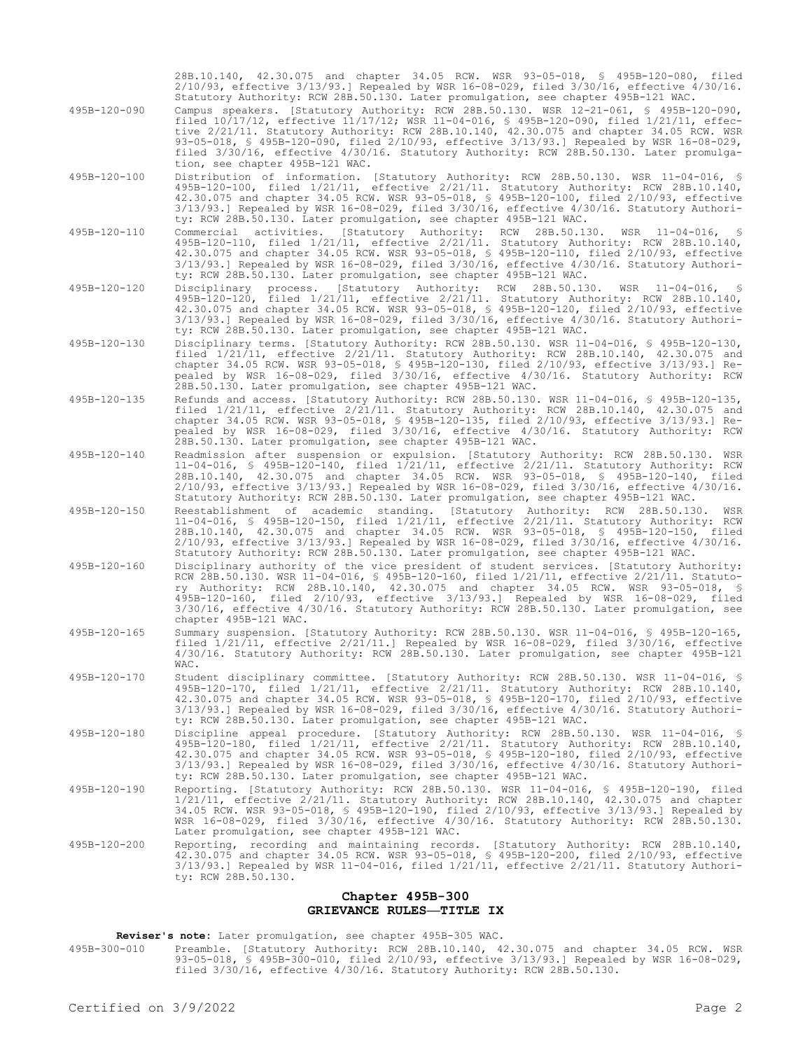|              | 28B.10.140, 42.30.075 and chapter 34.05 RCW. WSR 93-05-018, § 495B-120-080, filed<br>$2/10/93$ , effective $3/13/93$ .] Repealed by WSR 16-08-029, filed $3/30/16$ , effective $4/30/16$ .<br>Statutory Authority: RCW 28B.50.130. Later promulgation, see chapter 495B-121 WAC.                                                                                                                                                                                                                               |
|--------------|----------------------------------------------------------------------------------------------------------------------------------------------------------------------------------------------------------------------------------------------------------------------------------------------------------------------------------------------------------------------------------------------------------------------------------------------------------------------------------------------------------------|
| 495B-120-090 | Campus speakers. [Statutory Authority: RCW 28B.50.130. WSR 12-21-061, § 495B-120-090,<br>filed $10/17/12$ , effective $11/17/12$ ; WSR 11-04-016, § 495B-120-090, filed $1/21/11$ , effec-<br>tive 2/21/11. Statutory Authority: RCW 28B.10.140, 42.30.075 and chapter 34.05 RCW. WSR<br>93-05-018, § 495B-120-090, filed 2/10/93, effective 3/13/93.] Repealed by WSR 16-08-029,<br>filed 3/30/16, effective 4/30/16. Statutory Authority: RCW 28B.50.130. Later promulga-<br>tion, see chapter 495B-121 WAC. |
| 495B-120-100 | Distribution of information. [Statutory Authority: RCW 28B.50.130. WSR 11-04-016, §<br>495B-120-100, filed $1/21/11$ , effective $2/21/11$ . Statutory Authority: RCW 28B.10.140,<br>42.30.075 and chapter 34.05 RCW. WSR 93-05-018, \$ 495B-120-100, filed 2/10/93, effective<br>$3/13/93$ .] Repealed by WSR 16-08-029, filed $3/30/16$ , effective $4/30/16$ . Statutory Authori-<br>ty: RCW 28B.50.130. Later promulgation, see chapter 495B-121 WAC.                                                      |
| 495B-120-110 | Commercial activities. [Statutory Authority: RCW<br>28B.50.130.<br>$11 - 04 - 016$ , §<br>WSR<br>495B-120-110, filed $1/21/11$ , effective $2/21/11$ . Statutory Authority: RCW 28B.10.140,<br>42.30.075 and chapter 34.05 RCW. WSR 93-05-018, § 495B-120-110, filed 2/10/93, effective<br>$3/13/93$ .] Repealed by WSR 16-08-029, filed $3/30/16$ , effective $4/30/16$ . Statutory Authori-<br>ty: RCW 28B.50.130. Later promulgation, see chapter 495B-121 WAC.                                             |
| 495B-120-120 | Disciplinary process. [Statutory Authority: RCW 28B.50.130.<br>WSR $11-04-016$ ,<br>495B-120-120, filed 1/21/11, effective 2/21/11. Statutory Authority: RCW 28B.10.140,<br>42.30.075 and chapter 34.05 RCW. WSR 93-05-018, \$ 495B-120-120, filed 2/10/93, effective<br>$3/13/93$ .] Repealed by WSR 16-08-029, filed $3/30/16$ , effective $4/30/16$ . Statutory Authori-<br>ty: RCW 28B.50.130. Later promulgation, see chapter 495B-121 WAC.                                                               |
| 495B-120-130 | Disciplinary terms. [Statutory Authority: RCW 28B.50.130. WSR 11-04-016, \$ 495B-120-130,<br>filed $1/21/11$ , effective $2/21/11$ . Statutory Authority: RCW 28B.10.140, 42.30.075 and<br>chapter 34.05 RCW. WSR 93-05-018, § 495B-120-130, filed 2/10/93, effective 3/13/93.] Re-<br>pealed by WSR 16-08-029, filed 3/30/16, effective 4/30/16. Statutory Authority: RCW<br>28B.50.130. Later promulgation, see chapter 495B-121 WAC.                                                                        |
| 495B-120-135 | Refunds and access. [Statutory Authority: RCW 28B.50.130. WSR 11-04-016, § 495B-120-135,<br>filed $1/21/11$ , effective $2/21/11$ . Statutory Authority: RCW 28B.10.140, 42.30.075 and<br>chapter 34.05 RCW. WSR 93-05-018, § 495B-120-135, filed 2/10/93, effective 3/13/93.] Re-<br>pealed by WSR 16-08-029, filed 3/30/16, effective 4/30/16. Statutory Authority: RCW<br>28B.50.130. Later promulgation, see chapter 495B-121 WAC.                                                                         |
| 495B-120-140 | Readmission after suspension or expulsion. [Statutory Authority: RCW 28B.50.130. WSR<br>11-04-016, § 495B-120-140, filed 1/21/11, effective 2/21/11. Statutory Authority: RCW<br>28B.10.140, 42.30.075 and chapter 34.05 RCW. WSR 93-05-018, § 495B-120-140, filed<br>$2/10/93$ , effective $3/13/93$ .] Repealed by WSR 16-08-029, filed $3/30/16$ , effective $4/30/16$ .<br>Statutory Authority: RCW 28B.50.130. Later promulgation, see chapter 495B-121 WAC.                                              |
| 495B-120-150 | Reestablishment of academic standing. [Statutory Authority: RCW 28B.50.130.<br>WSR<br>11-04-016, \$ 495B-120-150, filed 1/21/11, effective 2/21/11. Statutory Authority: RCW<br>28B.10.140, 42.30.075 and chapter 34.05 RCW. WSR 93-05-018, § 495B-120-150, filed<br>$2/10/93$ , effective $3/13/93$ .] Repealed by WSR 16-08-029, filed $3/30/16$ , effective $4/30/16$ .<br>Statutory Authority: RCW 28B.50.130. Later promulgation, see chapter 495B-121 WAC.                                               |
| 495B-120-160 | Disciplinary authority of the vice president of student services. [Statutory Authority:<br>RCW 28B.50.130. WSR 11-04-016, § 495B-120-160, filed 1/21/11, effective 2/21/11. Statuto-<br>ry Authority: RCW 28B.10.140, 42.30.075 and chapter 34.05 RCW. WSR 93-05-018, \$<br>495B-120-160, filed 2/10/93, effective 3/13/93.] Repealed by WSR 16-08-029, filed<br>3/30/16, effective 4/30/16. Statutory Authority: RCW 28B.50.130. Later promulgation, see<br>chapter 495B-121 WAC.                             |
| 495B-120-165 | Summary suspension. [Statutory Authority: RCW 28B.50.130. WSR 11-04-016, § 495B-120-165,<br>filed $1/21/11$ , effective $2/21/11$ .] Repealed by WSR 16-08-029, filed $3/30/16$ , effective<br>4/30/16. Statutory Authority: RCW 28B.50.130. Later promulgation, see chapter 495B-121<br>WAC.                                                                                                                                                                                                                  |
| 495B-120-170 | Student disciplinary committee. [Statutory Authority: RCW 28B.50.130. WSR 11-04-016, §<br>495B-120-170, filed $1/21/11$ , effective $2/21/11$ . Statutory Authority: RCW 28B.10.140,<br>42.30.075 and chapter 34.05 RCW. WSR 93-05-018, \$ 495B-120-170, filed 2/10/93, effective<br>$3/13/93.$ ] Repealed by WSR 16-08-029, filed $3/30/16$ , effective $4/30/16$ . Statutory Authori-<br>ty: RCW 28B.50.130. Later promulgation, see chapter 495B-121 WAC.                                                   |
| 495B-120-180 | Discipline appeal procedure. [Statutory Authority: RCW 28B.50.130. WSR 11-04-016, §<br>495B-120-180, filed 1/21/11, effective 2/21/11. Statutory Authority: RCW 28B.10.140,<br>42.30.075 and chapter 34.05 RCW. WSR 93-05-018, \$ 495B-120-180, filed 2/10/93, effective<br>$3/13/93$ .] Repealed by WSR 16-08-029, filed $3/30/16$ , effective $4/30/16$ . Statutory Authori-<br>ty: RCW 28B.50.130. Later promulgation, see chapter 495B-121 WAC.                                                            |
| 495B-120-190 | Reporting. [Statutory Authority: RCW 28B.50.130. WSR 11-04-016, § 495B-120-190, filed<br>$1/21/11$ , effective $2/21/11$ . Statutory Authority: RCW 28B.10.140, 42.30.075 and chapter<br>34.05 RCW. WSR 93-05-018, § 495B-120-190, filed 2/10/93, effective 3/13/93.] Repealed by<br>WSR 16-08-029, filed 3/30/16, effective 4/30/16. Statutory Authority: RCW 28B.50.130.<br>Later promulgation, see chapter 495B-121 WAC.                                                                                    |
| 495B-120-200 | Reporting, recording and maintaining records. [Statutory Authority: RCW 28B.10.140,<br>42.30.075 and chapter 34.05 RCW. WSR 93-05-018, \$ 495B-120-200, filed 2/10/93, effective<br>3/13/93.] Repealed by WSR 11-04-016, filed 1/21/11, effective 2/21/11. Statutory Authori-<br>ty: RCW 28B.50.130.                                                                                                                                                                                                           |
|              | Chapter 495B-300                                                                                                                                                                                                                                                                                                                                                                                                                                                                                               |

# **GRIEVANCE RULES—TITLE IX**

**Reviser's note:** Later promulgation, see chapter 495B-305 WAC.

495B-300-010 Preamble. [Statutory Authority: RCW 28B.10.140, 42.30.075 and chapter 34.05 RCW. WSR 93-05-018, § 495B-300-010, filed 2/10/93, effective 3/13/93.] Repealed by WSR 16-08-029, filed 3/30/16, effective 4/30/16. Statutory Authority: RCW 28B.50.130.